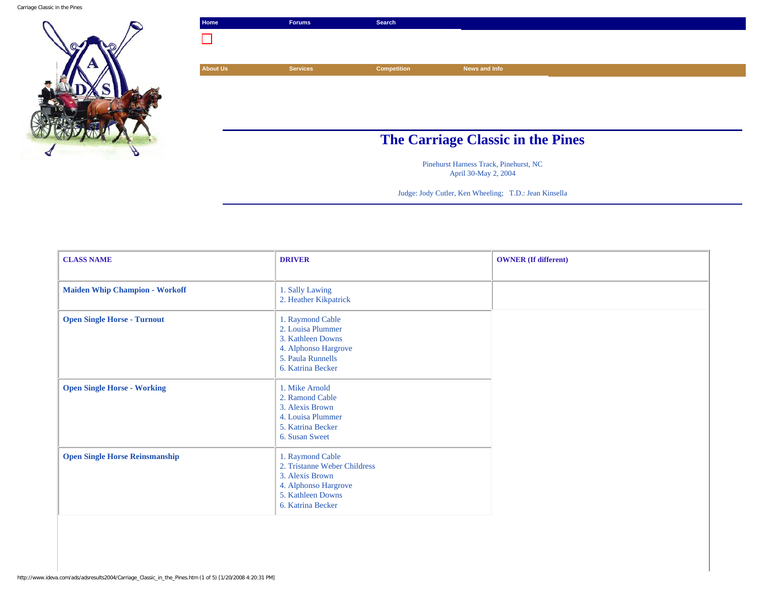Carriage Classic in the Pines



| Home                                     | <b>Forums</b>   | Search             |               |  |
|------------------------------------------|-----------------|--------------------|---------------|--|
|                                          |                 |                    |               |  |
|                                          |                 |                    |               |  |
| <b>About Us</b>                          | <b>Services</b> | <b>Competition</b> | News and Info |  |
|                                          |                 |                    |               |  |
|                                          |                 |                    |               |  |
|                                          |                 |                    |               |  |
|                                          |                 |                    |               |  |
|                                          |                 |                    |               |  |
| <b>The Carriage Classic in the Pines</b> |                 |                    |               |  |

Pinehurst Harness Track, Pinehurst, NC April 30-May 2, 2004

Judge: Jody Cutler, Ken Wheeling; T.D.: Jean Kinsella

| <b>CLASS NAME</b>                     | <b>DRIVER</b>                                                                                                                         | <b>OWNER</b> (If different) |
|---------------------------------------|---------------------------------------------------------------------------------------------------------------------------------------|-----------------------------|
| <b>Maiden Whip Champion - Workoff</b> | 1. Sally Lawing<br>2. Heather Kikpatrick                                                                                              |                             |
| <b>Open Single Horse - Turnout</b>    | 1. Raymond Cable<br>2. Louisa Plummer<br>3. Kathleen Downs<br>4. Alphonso Hargrove<br>5. Paula Runnells<br>6. Katrina Becker          |                             |
| <b>Open Single Horse - Working</b>    | 1. Mike Arnold<br>2. Ramond Cable<br>3. Alexis Brown<br>4. Louisa Plummer<br>5. Katrina Becker<br>6. Susan Sweet                      |                             |
| <b>Open Single Horse Reinsmanship</b> | 1. Raymond Cable<br>2. Tristanne Weber Childress<br>3. Alexis Brown<br>4. Alphonso Hargrove<br>5. Kathleen Downs<br>6. Katrina Becker |                             |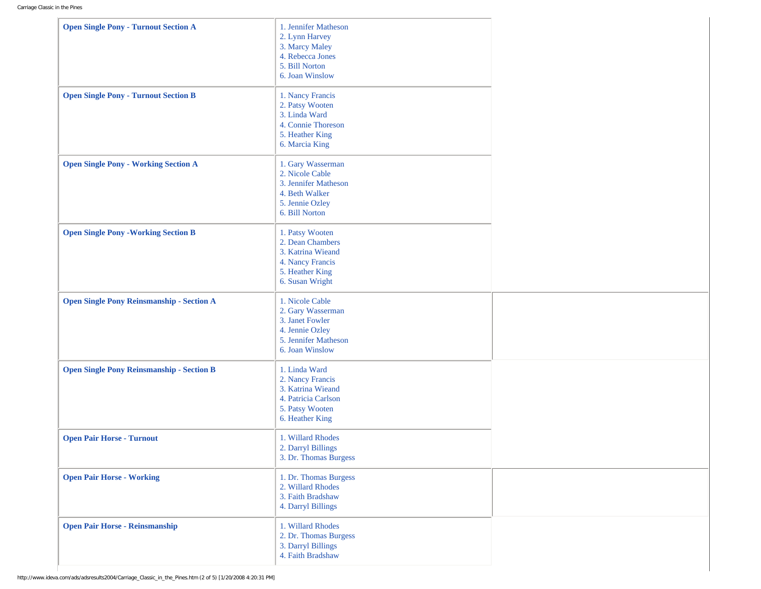| <b>Open Single Pony - Turnout Section A</b>      | 1. Jennifer Matheson<br>2. Lynn Harvey<br>3. Marcy Maley<br>4. Rebecca Jones<br>5. Bill Norton<br>6. Joan Winslow     |  |
|--------------------------------------------------|-----------------------------------------------------------------------------------------------------------------------|--|
| <b>Open Single Pony - Turnout Section B</b>      | 1. Nancy Francis<br>2. Patsy Wooten<br>3. Linda Ward<br>4. Connie Thoreson<br>5. Heather King<br>6. Marcia King       |  |
| <b>Open Single Pony - Working Section A</b>      | 1. Gary Wasserman<br>2. Nicole Cable<br>3. Jennifer Matheson<br>4. Beth Walker<br>5. Jennie Ozley<br>6. Bill Norton   |  |
| <b>Open Single Pony - Working Section B</b>      | 1. Patsy Wooten<br>2. Dean Chambers<br>3. Katrina Wieand<br>4. Nancy Francis<br>5. Heather King<br>6. Susan Wright    |  |
| <b>Open Single Pony Reinsmanship - Section A</b> | 1. Nicole Cable<br>2. Gary Wasserman<br>3. Janet Fowler<br>4. Jennie Ozley<br>5. Jennifer Matheson<br>6. Joan Winslow |  |
| <b>Open Single Pony Reinsmanship - Section B</b> | 1. Linda Ward<br>2. Nancy Francis<br>3. Katrina Wieand<br>4. Patricia Carlson<br>5. Patsy Wooten<br>6. Heather King   |  |
| <b>Open Pair Horse - Turnout</b>                 | 1. Willard Rhodes<br>2. Darryl Billings<br>3. Dr. Thomas Burgess                                                      |  |
| <b>Open Pair Horse - Working</b>                 | 1. Dr. Thomas Burgess<br>2. Willard Rhodes<br>3. Faith Bradshaw<br>4. Darryl Billings                                 |  |
| <b>Open Pair Horse - Reinsmanship</b>            | 1. Willard Rhodes<br>2. Dr. Thomas Burgess<br>3. Darryl Billings<br>4. Faith Bradshaw                                 |  |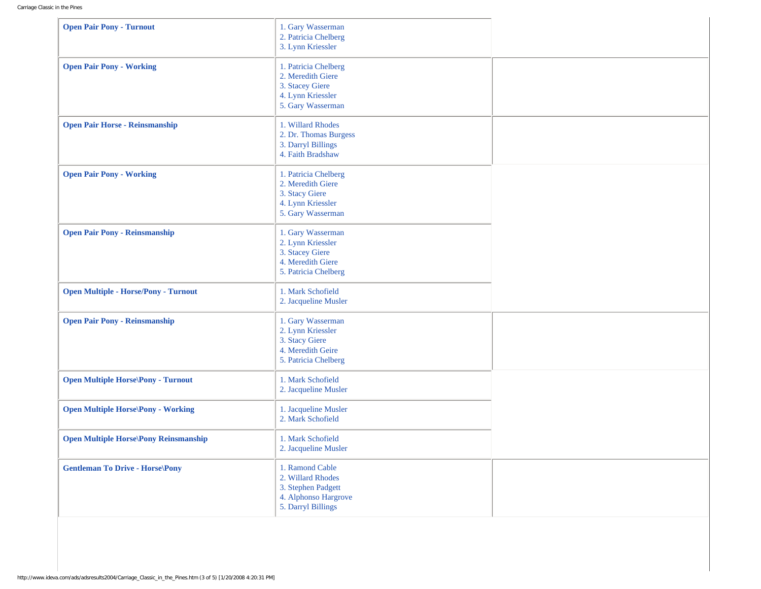| <b>Open Pair Pony - Turnout</b>              | 1. Gary Wasserman<br>2. Patricia Chelberg<br>3. Lynn Kriessler                                           |  |
|----------------------------------------------|----------------------------------------------------------------------------------------------------------|--|
| <b>Open Pair Pony - Working</b>              | 1. Patricia Chelberg<br>2. Meredith Giere<br>3. Stacey Giere<br>4. Lynn Kriessler<br>5. Gary Wasserman   |  |
| <b>Open Pair Horse - Reinsmanship</b>        | 1. Willard Rhodes<br>2. Dr. Thomas Burgess<br>3. Darryl Billings<br>4. Faith Bradshaw                    |  |
| <b>Open Pair Pony - Working</b>              | 1. Patricia Chelberg<br>2. Meredith Giere<br>3. Stacy Giere<br>4. Lynn Kriessler<br>5. Gary Wasserman    |  |
| <b>Open Pair Pony - Reinsmanship</b>         | 1. Gary Wasserman<br>2. Lynn Kriessler<br>3. Stacey Giere<br>4. Meredith Giere<br>5. Patricia Chelberg   |  |
| <b>Open Multiple - Horse/Pony - Turnout</b>  | 1. Mark Schofield<br>2. Jacqueline Musler                                                                |  |
| <b>Open Pair Pony - Reinsmanship</b>         | 1. Gary Wasserman<br>2. Lynn Kriessler<br>3. Stacy Giere<br>4. Meredith Geire<br>5. Patricia Chelberg    |  |
| <b>Open Multiple Horse\Pony - Turnout</b>    | 1. Mark Schofield<br>2. Jacqueline Musler                                                                |  |
| <b>Open Multiple Horse\Pony - Working</b>    | 1. Jacqueline Musler<br>2. Mark Schofield                                                                |  |
| <b>Open Multiple Horse\Pony Reinsmanship</b> | 1. Mark Schofield<br>2. Jacqueline Musler                                                                |  |
| <b>Gentleman To Drive - Horse\Pony</b>       | 1. Ramond Cable<br>2. Willard Rhodes<br>3. Stephen Padgett<br>4. Alphonso Hargrove<br>5. Darryl Billings |  |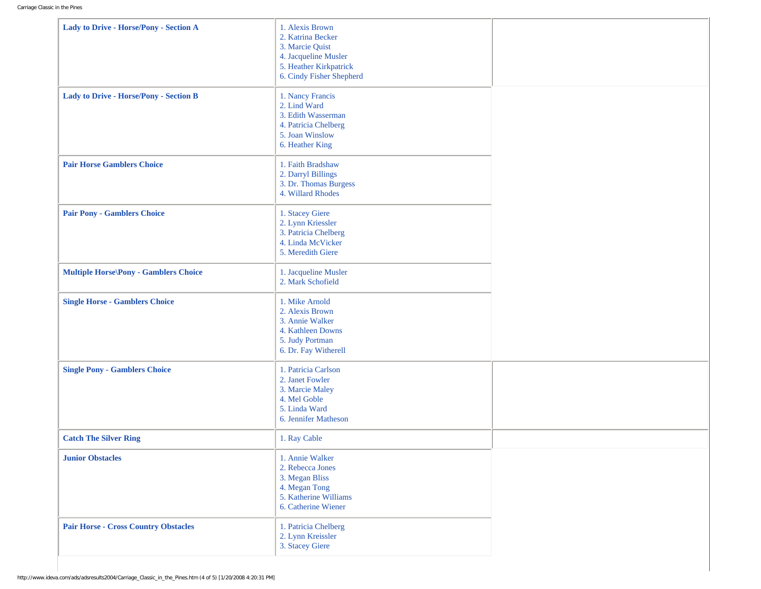| Lady to Drive - Horse/Pony - Section A        | 1. Alexis Brown<br>2. Katrina Becker<br>3. Marcie Quist<br>4. Jacqueline Musler<br>5. Heather Kirkpatrick<br>6. Cindy Fisher Shepherd |  |
|-----------------------------------------------|---------------------------------------------------------------------------------------------------------------------------------------|--|
| <b>Lady to Drive - Horse/Pony - Section B</b> | 1. Nancy Francis<br>2. Lind Ward<br>3. Edith Wasserman<br>4. Patricia Chelberg<br>5. Joan Winslow<br>6. Heather King                  |  |
| <b>Pair Horse Gamblers Choice</b>             | 1. Faith Bradshaw<br>2. Darryl Billings<br>3. Dr. Thomas Burgess<br>4. Willard Rhodes                                                 |  |
| <b>Pair Pony - Gamblers Choice</b>            | 1. Stacey Giere<br>2. Lynn Kriessler<br>3. Patricia Chelberg<br>4. Linda McVicker<br>5. Meredith Giere                                |  |
| <b>Multiple Horse\Pony - Gamblers Choice</b>  | 1. Jacqueline Musler<br>2. Mark Schofield                                                                                             |  |
| <b>Single Horse - Gamblers Choice</b>         | 1. Mike Arnold<br>2. Alexis Brown<br>3. Annie Walker<br>4. Kathleen Downs<br>5. Judy Portman<br>6. Dr. Fay Witherell                  |  |
| <b>Single Pony - Gamblers Choice</b>          | 1. Patricia Carlson<br>2. Janet Fowler<br>3. Marcie Maley<br>4. Mel Goble<br>5. Linda Ward<br>6. Jennifer Matheson                    |  |
| <b>Catch The Silver Ring</b>                  | 1. Ray Cable                                                                                                                          |  |
| <b>Junior Obstacles</b>                       | 1. Annie Walker<br>2. Rebecca Jones<br>3. Megan Bliss<br>4. Megan Tong<br>5. Katherine Williams<br>6. Catherine Wiener                |  |
| <b>Pair Horse - Cross Country Obstacles</b>   | 1. Patricia Chelberg<br>2. Lynn Kreissler<br>3. Stacey Giere                                                                          |  |